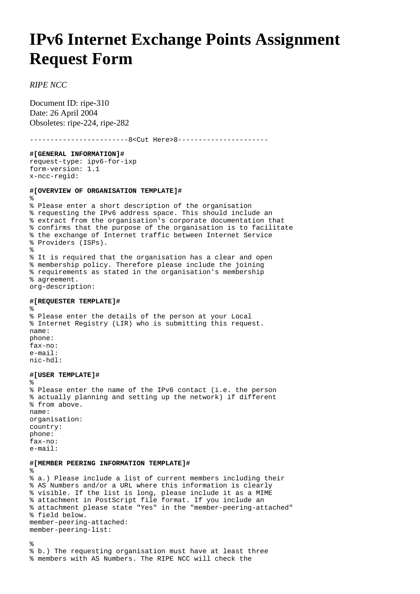## **IPv6 Internet Exchange Points Assignment Request Form**

## *RIPE NCC*

Document ID: ripe-310 Date: 26 April 2004 Obsoletes: ripe-224, ripe-282

------------------------8<Cut Here>8---------------------- **#[GENERAL INFORMATION]#** request-type: ipv6-for-ixp form-version: 1.1 x-ncc-regid: **#[OVERVIEW OF ORGANISATION TEMPLATE]#** % % Please enter a short description of the organisation % requesting the IPv6 address space. This should include an % extract from the organisation's corporate documentation that % confirms that the purpose of the organisation is to facilitate % the exchange of Internet traffic between Internet Service % Providers (ISPs). % % It is required that the organisation has a clear and open % membership policy. Therefore please include the joining % requirements as stated in the organisation's membership % agreement. org-description: **#[REQUESTER TEMPLATE]#** % % Please enter the details of the person at your Local % Internet Registry (LIR) who is submitting this request. name: phone: fax-no: e-mail: nic-hdl: **#[USER TEMPLATE]#** % % Please enter the name of the IPv6 contact (i.e. the person % actually planning and setting up the network) if different % from above. name: organisation: country: phone: fax-no: e-mail:

## **#[MEMBER PEERING INFORMATION TEMPLATE]#**

% % a.) Please include a list of current members including their % AS Numbers and/or a URL where this information is clearly % visible. If the list is long, please include it as a MIME % attachment in PostScript file format. If you include an % attachment please state "Yes" in the "member-peering-attached" % field below. member-peering-attached: member-peering-list:

% % b.) The requesting organisation must have at least three % members with AS Numbers. The RIPE NCC will check the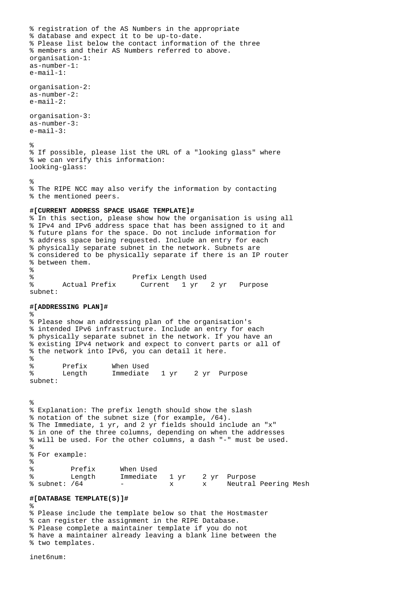```
% registration of the AS Numbers in the appropriate 
% database and expect it to be up-to-date.
% Please list below the contact information of the three
% members and their AS Numbers referred to above.
organisation-1:
as-number-1:
e-mail-1:
organisation-2:
as-number-2:
e-mail-2:
organisation-3:
as-number-3:
e-mail-3:
%
% If possible, please list the URL of a "looking glass" where 
% we can verify this information:
looking-glass:
%
% The RIPE NCC may also verify the information by contacting 
% the mentioned peers.
#[CURRENT ADDRESS SPACE USAGE TEMPLATE]#
% In this section, please show how the organisation is using all
% IPv4 and IPv6 address space that has been assigned to it and 
% future plans for the space. Do not include information for 
% address space being requested. Include an entry for each 
% physically separate subnet in the network. Subnets are 
% considered to be physically separate if there is an IP router 
% between them.
%
% Prefix Length Used
% Actual Prefix Current 1 yr 2 yr Purpose
subnet:
#[ADDRESSING PLAN]#
%
% Please show an addressing plan of the organisation's 
% intended IPv6 infrastructure. Include an entry for each 
% physically separate subnet in the network. If you have an 
% existing IPv4 network and expect to convert parts or all of 
% the network into IPv6, you can detail it here.
\tilde{z}% Prefix When Used
% Length Immediate 1 yr 2 yr Purpose
subnet:
%
% Explanation: The prefix length should show the slash
% notation of the subnet size (for example, /64).
% The Immediate, 1 yr, and 2 yr fields should include an "x" 
% in one of the three columns, depending on when the addresses 
% will be used. For the other columns, a dash "-" must be used.
%
% For example:
%
% Prefix When Used
% Length Immediate 1 yr 2 yr Purpose
                                x x Neutral Peering Mesh
#[DATABASE TEMPLATE(S)]#
%
% Please include the template below so that the Hostmaster
% can register the assignment in the RIPE Database.
% Please complete a maintainer template if you do not
% have a maintainer already leaving a blank line between the
% two templates.
```
inet6num: